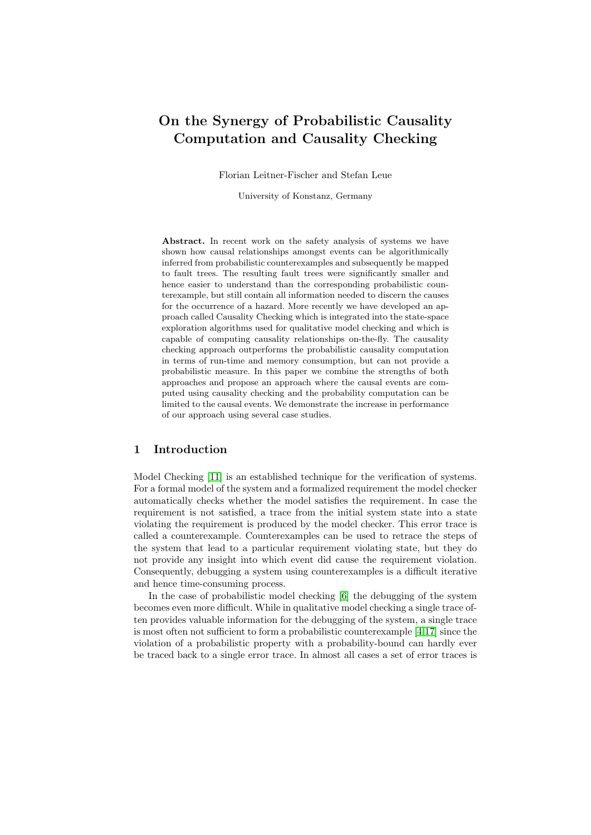# On the Synergy of Probabilistic Causality Computation and Causality Checking

Florian Leitner-Fischer and Stefan Leue

University of Konstanz, Germany

Abstract. In recent work on the safety analysis of systems we have shown how causal relationships amongst events can be algorithmically inferred from probabilistic counterexamples and subsequently be mapped to fault trees. The resulting fault trees were significantly smaller and hence easier to understand than the corresponding probabilistic counterexample, but still contain all information needed to discern the causes for the occurrence of a hazard. More recently we have developed an approach called Causality Checking which is integrated into the state-space exploration algorithms used for qualitative model checking and which is capable of computing causality relationships on-the-fly. The causality checking approach outperforms the probabilistic causality computation in terms of run-time and memory consumption, but can not provide a probabilistic measure. In this paper we combine the strengths of both approaches and propose an approach where the causal events are computed using causality checking and the probability computation can be limited to the causal events. We demonstrate the increase in performance of our approach using several case studies.

# 1 Introduction

Model Checking [\[11\]](#page-16-0) is an established technique for the verification of systems. For a formal model of the system and a formalized requirement the model checker automatically checks whether the model satisfies the requirement. In case the requirement is not satisfied, a trace from the initial system state into a state violating the requirement is produced by the model checker. This error trace is called a counterexample. Counterexamples can be used to retrace the steps of the system that lead to a particular requirement violating state, but they do not provide any insight into which event did cause the requirement violation. Consequently, debugging a system using counterexamples is a difficult iterative and hence time-consuming process.

In the case of probabilistic model checking [\[6\]](#page-16-1) the debugging of the system becomes even more difficult. While in qualitative model checking a single trace often provides valuable information for the debugging of the system, a single trace is most often not sufficient to form a probabilistic counterexample  $[4,17]$  $[4,17]$  since the violation of a probabilistic property with a probability-bound can hardly ever be traced back to a single error trace. In almost all cases a set of error traces is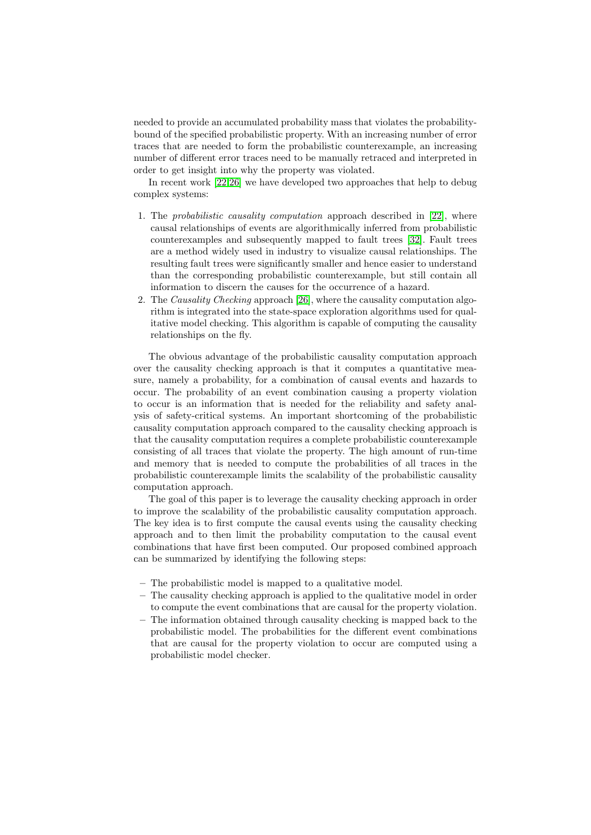needed to provide an accumulated probability mass that violates the probabilitybound of the specified probabilistic property. With an increasing number of error traces that are needed to form the probabilistic counterexample, an increasing number of different error traces need to be manually retraced and interpreted in order to get insight into why the property was violated.

In recent work [\[22](#page-17-1)[,26\]](#page-17-2) we have developed two approaches that help to debug complex systems:

- 1. The probabilistic causality computation approach described in [\[22\]](#page-17-1), where causal relationships of events are algorithmically inferred from probabilistic counterexamples and subsequently mapped to fault trees [\[32\]](#page-17-3). Fault trees are a method widely used in industry to visualize causal relationships. The resulting fault trees were significantly smaller and hence easier to understand than the corresponding probabilistic counterexample, but still contain all information to discern the causes for the occurrence of a hazard.
- 2. The Causality Checking approach [\[26\]](#page-17-2), where the causality computation algorithm is integrated into the state-space exploration algorithms used for qualitative model checking. This algorithm is capable of computing the causality relationships on the fly.

The obvious advantage of the probabilistic causality computation approach over the causality checking approach is that it computes a quantitative measure, namely a probability, for a combination of causal events and hazards to occur. The probability of an event combination causing a property violation to occur is an information that is needed for the reliability and safety analysis of safety-critical systems. An important shortcoming of the probabilistic causality computation approach compared to the causality checking approach is that the causality computation requires a complete probabilistic counterexample consisting of all traces that violate the property. The high amount of run-time and memory that is needed to compute the probabilities of all traces in the probabilistic counterexample limits the scalability of the probabilistic causality computation approach.

The goal of this paper is to leverage the causality checking approach in order to improve the scalability of the probabilistic causality computation approach. The key idea is to first compute the causal events using the causality checking approach and to then limit the probability computation to the causal event combinations that have first been computed. Our proposed combined approach can be summarized by identifying the following steps:

- The probabilistic model is mapped to a qualitative model.
- The causality checking approach is applied to the qualitative model in order to compute the event combinations that are causal for the property violation.
- The information obtained through causality checking is mapped back to the probabilistic model. The probabilities for the different event combinations that are causal for the property violation to occur are computed using a probabilistic model checker.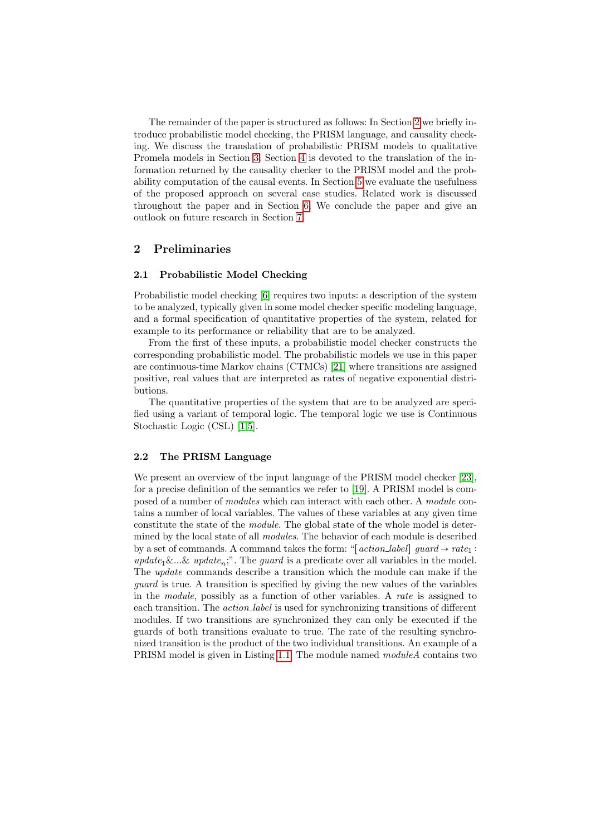The remainder of the paper is structured as follows: In Section [2](#page-2-0) we briefly introduce probabilistic model checking, the PRISM language, and causality checking. We discuss the translation of probabilistic PRISM models to qualitative Promela models in Section [3.](#page-7-0) Section [4](#page-9-0) is devoted to the translation of the information returned by the causality checker to the PRISM model and the probability computation of the causal events. In Section [5](#page-12-0) we evaluate the usefulness of the proposed approach on several case studies. Related work is discussed throughout the paper and in Section [6.](#page-15-0) We conclude the paper and give an outlook on future research in Section [7.](#page-16-3)

# <span id="page-2-0"></span>2 Preliminaries

### 2.1 Probabilistic Model Checking

Probabilistic model checking [\[6\]](#page-16-1) requires two inputs: a description of the system to be analyzed, typically given in some model checker specific modeling language, and a formal specification of quantitative properties of the system, related for example to its performance or reliability that are to be analyzed.

From the first of these inputs, a probabilistic model checker constructs the corresponding probabilistic model. The probabilistic models we use in this paper are continuous-time Markov chains (CTMCs) [\[21\]](#page-17-4) where transitions are assigned positive, real values that are interpreted as rates of negative exponential distributions.

The quantitative properties of the system that are to be analyzed are specified using a variant of temporal logic. The temporal logic we use is Continuous Stochastic Logic (CSL) [\[1,](#page-16-4)[5\]](#page-16-5).

### <span id="page-2-1"></span>2.2 The PRISM Language

We present an overview of the input language of the PRISM model checker [\[23\]](#page-17-5), for a precise definition of the semantics we refer to [\[19\]](#page-17-6). A PRISM model is composed of a number of modules which can interact with each other. A module contains a number of local variables. The values of these variables at any given time constitute the state of the module. The global state of the whole model is determined by the local state of all modules. The behavior of each module is described by a set of commands. A command takes the form: "[action\_label] guard  $\rightarrow$  rate<sub>1</sub> : update<sub>1</sub>&...& update<sub>n</sub>;". The *guard* is a predicate over all variables in the model. The update commands describe a transition which the module can make if the guard is true. A transition is specified by giving the new values of the variables in the module, possibly as a function of other variables. A rate is assigned to each transition. The *action-label* is used for synchronizing transitions of different modules. If two transitions are synchronized they can only be executed if the guards of both transitions evaluate to true. The rate of the resulting synchronized transition is the product of the two individual transitions. An example of a PRISM model is given in Listing [1.1.](#page-3-0) The module named moduleA contains two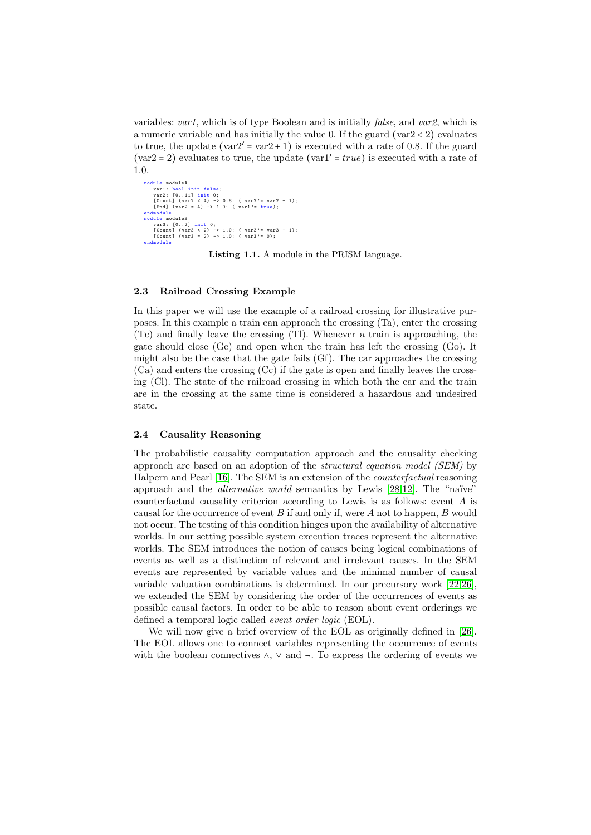variables: var1, which is of type Boolean and is initially *false*, and var2, which is a numeric variable and has initially the value 0. If the guard  $(\text{var2} < 2)$  evaluates to true, the update (var2' = var2 + 1) is executed with a rate of 0.8. If the guard (var2 = 2) evaluates to true, the update (var1' =  $true$ ) is executed with a rate of 1.0.

```
module moduleA
        var1: bool init false;<br>var2: [0..11] init 0;<br>[Count] (var2 < 4) -> 0.8: ( var2'= var2 + 1);<br>[End] (var2 = 4) -> 1.0: ( var1'= true);
endmodule<br>module moduleB<br>var3: [0..2] init 0;<br>[Count] (var3 = 2) -> 1.0: ( var3'= var3 + 1);<br>[Count] (var3 = 2) -> 1.0: ( var3'= 0);
  endmodule
```
Listing 1.1. A module in the PRISM language.

### 2.3 Railroad Crossing Example

In this paper we will use the example of a railroad crossing for illustrative purposes. In this example a train can approach the crossing (Ta), enter the crossing (Tc) and finally leave the crossing (Tl). Whenever a train is approaching, the gate should close (Gc) and open when the train has left the crossing (Go). It might also be the case that the gate fails (Gf). The car approaches the crossing (Ca) and enters the crossing (Cc) if the gate is open and finally leaves the crossing (Cl). The state of the railroad crossing in which both the car and the train are in the crossing at the same time is considered a hazardous and undesired state.

### <span id="page-3-1"></span>2.4 Causality Reasoning

The probabilistic causality computation approach and the causality checking approach are based on an adoption of the structural equation model (SEM) by Halpern and Pearl [\[16\]](#page-17-7). The SEM is an extension of the counterfactual reasoning approach and the *alternative world* semantics by Lewis  $[28,12]$  $[28,12]$ . The "naïve" counterfactual causality criterion according to Lewis is as follows: event A is causal for the occurrence of event  $B$  if and only if, were  $A$  not to happen,  $B$  would not occur. The testing of this condition hinges upon the availability of alternative worlds. In our setting possible system execution traces represent the alternative worlds. The SEM introduces the notion of causes being logical combinations of events as well as a distinction of relevant and irrelevant causes. In the SEM events are represented by variable values and the minimal number of causal variable valuation combinations is determined. In our precursory work [\[22,](#page-17-1)[26\]](#page-17-2), we extended the SEM by considering the order of the occurrences of events as possible causal factors. In order to be able to reason about event orderings we defined a temporal logic called event order logic (EOL).

We will now give a brief overview of the EOL as originally defined in [\[26\]](#page-17-2). The EOL allows one to connect variables representing the occurrence of events with the boolean connectives  $\wedge$ ,  $\vee$  and  $\neg$ . To express the ordering of events we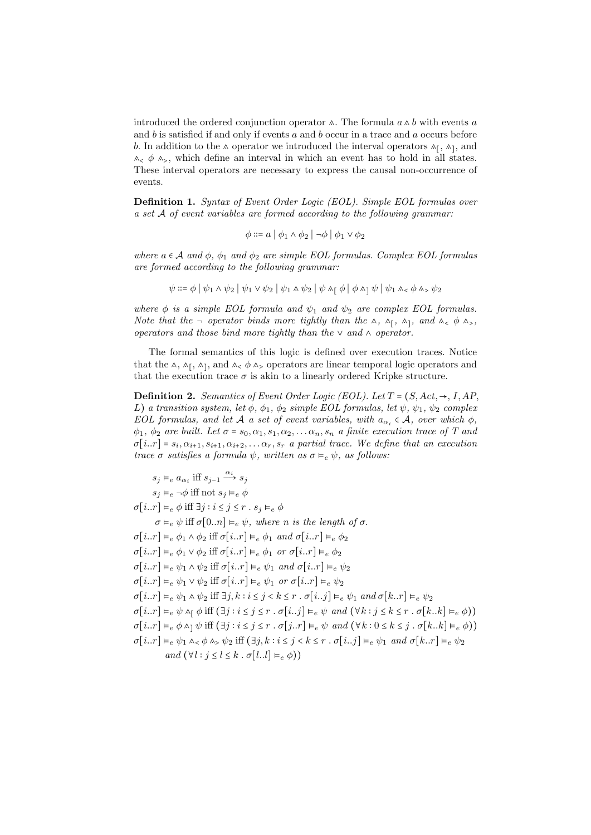introduced the ordered conjunction operator  $\wedge$ . The formula  $a \wedge b$  with events a and  $b$  is satisfied if and only if events  $a$  and  $b$  occur in a trace and  $a$  occurs before b. In addition to the  $\alpha$  operator we introduced the interval operators  $\alpha_1$ ,  $\alpha_1$ , and  $\lambda_{\zeta}$   $\phi$   $\lambda_{\lambda}$ , which define an interval in which an event has to hold in all states. These interval operators are necessary to express the causal non-occurrence of events.

Definition 1. Syntax of Event Order Logic (EOL). Simple EOL formulas over a set <sup>A</sup> of event variables are formed according to the following grammar:

$$
\phi ::= a \mid \phi_1 \land \phi_2 \mid \neg \phi \mid \phi_1 \lor \phi_2
$$

where  $a \in \mathcal{A}$  and  $\phi$ ,  $\phi_1$  and  $\phi_2$  are simple EOL formulas. Complex EOL formulas are formed according to the following grammar:

 $\psi ::= \phi | \psi_1 \wedge \psi_2 | \psi_1 \vee \psi_2 | \psi_1 \wedge \psi_2 | \psi \wedge \phi | \phi \wedge_1 \psi | \psi_1 \wedge \phi \wedge_2 \psi_2$ 

where  $\phi$  is a simple EOL formula and  $\psi_1$  and  $\psi_2$  are complex EOL formulas. Note that the  $\neg$  operator binds more tightly than the  $\wedge$ ,  $\wedge$ [,  $\wedge$ ], and  $\wedge$   $\Diamond$   $\wedge$   $\wedge$ , operators and those bind more tightly than the  $\vee$  and  $\wedge$  operator.

The formal semantics of this logic is defined over execution traces. Notice that the  $\alpha$ ,  $\alpha$ <sub>[</sub>,  $\alpha$ <sub>]</sub>, and  $\alpha$ <sub><</sub>  $\phi$   $\alpha$ <sub>></sub> operators are linear temporal logic operators and that the execution trace  $\sigma$  is akin to a linearly ordered Kripke structure.

**Definition 2.** Semantics of Event Order Logic (EOL). Let  $T = (S, Act, \rightarrow, I, AP,$ L) a transition system, let  $\phi$ ,  $\phi_1$ ,  $\phi_2$  simple EOL formulas, let  $\psi$ ,  $\psi_1$ ,  $\psi_2$  complex EOL formulas, and let A a set of event variables, with  $a_{\alpha_i} \in A$ , over which  $\phi$ ,<br>  $\phi_{\alpha_i}$  are which let  $\sigma_{\alpha_i}$  and  $\phi_{\alpha_i}$  are finite approximations of  $T$  and  $\phi_1$ ,  $\phi_2$  are built. Let  $\sigma = s_0, \alpha_1, s_1, \alpha_2, \ldots, \alpha_n, s_n$  a finite execution trace of T and  $\sigma[i..r] = s_i, \alpha_{i+1}, s_{i+1}, \alpha_{i+2}, \ldots \alpha_r, s_r$  a partial trace. We define that an execution trace  $\sigma$  satisfies a formula  $\psi$ , written as  $\sigma \vDash_{e} \psi$ , as follows:

 $s_j \vDash_e a_{\alpha_i}$  iff  $s_{j-1} \xrightarrow{\alpha_i} s_j$  $s_i \vDash_e \neg \phi$  iff not  $s_i \vDash_e \phi$ 

 $\sigma[i..r] \vDash_e \phi \text{ iff } \exists j : i \leq j \leq r \text{ . } s_i \vDash_e \phi$ 

 $\sigma \vDash_{e} \psi$  iff  $\sigma[0..n] \vDash_{e} \psi$ , where n is the length of  $\sigma$ .

 $\sigma[i..r] \vDash_{e} \phi_1 \wedge \phi_2$  iff  $\sigma[i..r] \vDash_{e} \phi_1$  and  $\sigma[i..r] \vDash_{e} \phi_2$ 

 $\sigma[i..r] \vDash_e \phi_1 \vee \phi_2$  iff  $\sigma[i..r] \vDash_e \phi_1$  or  $\sigma[i..r] \vDash_e \phi_2$ 

 $\sigma[i..r] \vDash_{e} \psi_1 \wedge \psi_2$  iff  $\sigma[i..r] \vDash_{e} \psi_1$  and  $\sigma[i..r] \vDash_{e} \psi_2$ 

 $\sigma[i..r] \vDash_{e} \psi_1 \vee \psi_2$  iff  $\sigma[i..r] \vDash_{e} \psi_1$  or  $\sigma[i..r] \vDash_{e} \psi_2$ 

 $\sigma[i..r] \vDash_e \psi_1 \wedge \psi_2$  iff  $\exists j, k : i \leq j < k \leq r$ .  $\sigma[i..j] \vDash_e \psi_1$  and  $\sigma[k..r] \vDash_e \psi_2$ 

 $\sigma[i..r] \vDash_{e} \psi \wedge_{\mathfrak{f}} \phi$  iff  $(\exists j : i \leq j \leq r \cdot \sigma[i..j] \vDash_{e} \psi$  and  $(\forall k : j \leq k \leq r \cdot \sigma[k..k] \vDash_{e} \phi))$ 

 $\sigma[i..r] \vDash_{e} \phi \wedge_{1} \psi$  iff  $(\exists j : i \leq j \leq r \cdot \sigma[j..r] \vDash_{e} \psi$  and  $(\forall k : 0 \leq k \leq j \cdot \sigma[k..k] \vDash_{e} \phi))$ 

 $\sigma[i..r] \vDash_{e} \psi_1 \wedge_{\leq} \phi \wedge_{\geq} \psi_2$  iff  $(\exists j, k : i \leq j \leq k \leq r \cdot \sigma[i..j] \vDash_{e} \psi_1$  and  $\sigma[k..r] \vDash_{e} \psi_2$ 

and  $(\forall l : j \leq l \leq k \cdot \sigma[l..l] \vDash_{e} \phi)$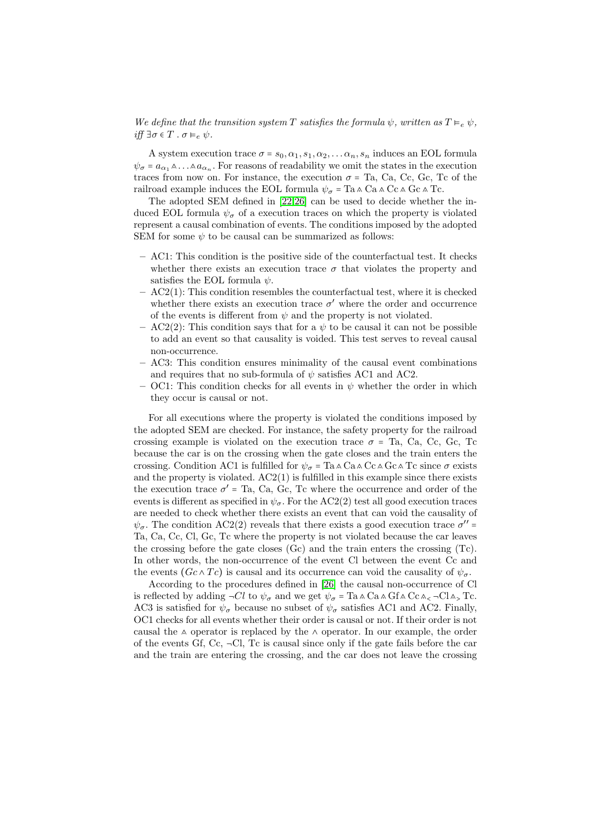We define that the transition system T satisfies the formula  $\psi$ , written as  $T \vDash_{e} \psi$ , iff <sup>∃</sup><sup>σ</sup> <sup>∈</sup> T . σ <sup>⊧</sup><sup>e</sup> <sup>ψ</sup>.

A system execution trace  $\sigma = s_0, \alpha_1, s_1, \alpha_2, \dots \alpha_n, s_n$  induces an EOL formula  $\psi_{\sigma} = a_{\alpha_1} \wedge \ldots \wedge a_{\alpha_n}$ . For reasons of readability we omit the states in the execution traces from now on. For instance, the execution  $\sigma$  = Ta, Ca, Cc, Gc, Tc of the railroad example induces the EOL formula  $\psi_{\sigma}$  = Ta  $\wedge$  Ca  $\wedge$  Cc  $\wedge$  Gc  $\wedge$  Tc.

The adopted SEM defined in [\[22,](#page-17-1)[26\]](#page-17-2) can be used to decide whether the induced EOL formula  $\psi_{\sigma}$  of a execution traces on which the property is violated represent a causal combination of events. The conditions imposed by the adopted SEM for some  $\psi$  to be causal can be summarized as follows:

- AC1: This condition is the positive side of the counterfactual test. It checks whether there exists an execution trace  $\sigma$  that violates the property and satisfies the EOL formula  $\psi$ .
- $-$  AC2(1): This condition resembles the counterfactual test, where it is checked whether there exists an execution trace  $\sigma'$  where the order and occurrence of the events is different from  $\psi$  and the property is not violated.
- $-$  AC2(2): This condition says that for a  $\psi$  to be causal it can not be possible to add an event so that causality is voided. This test serves to reveal causal non-occurrence.
- AC3: This condition ensures minimality of the causal event combinations and requires that no sub-formula of  $\psi$  satisfies AC1 and AC2.
- OC1: This condition checks for all events in  $\psi$  whether the order in which they occur is causal or not.

For all executions where the property is violated the conditions imposed by the adopted SEM are checked. For instance, the safety property for the railroad crossing example is violated on the execution trace  $\sigma$  = Ta, Ca, Cc, Gc, Tc because the car is on the crossing when the gate closes and the train enters the crossing. Condition AC1 is fulfilled for  $\psi_{\sigma} = \text{Ta } \wedge \text{Ca } \wedge \text{Cc } \wedge \text{Ac } \wedge \text{Te}$  since  $\sigma$  exists and the property is violated.  $AC2(1)$  is fulfilled in this example since there exists the execution trace  $\sigma' =$ Ta, Ca, Gc, Tc where the occurrence and order of the events is different as specified in  $\psi_{\sigma}$ . For the AC2(2) test all good execution traces are needed to check whether there exists an event that can void the causality of  $\psi_{\sigma}$ . The condition AC2(2) reveals that there exists a good execution trace  $\sigma''$  $T_a$ , Ca, Cc, Cl, Gc, Tc where the property is not violated because the car leaves the crossing before the gate closes  $(Gc)$  and the train enters the crossing  $(Tc)$ . In other words, the non-occurrence of the event Cl between the event Cc and the events  $(Gc \wedge Tc)$  is causal and its occurrence can void the causality of  $\psi_{\sigma}$ .

According to the procedures defined in [\[26\]](#page-17-2) the causal non-occurrence of Cl is reflected by adding  $\neg Cl$  to  $\psi_{\sigma}$  and we get  $\psi_{\sigma} = Ta \wedge Ca \wedge Gf \wedge Cc \wedge_{\prec} \neg Cl \wedge_{\succ} Tc$ . AC3 is satisfied for  $\psi_{\sigma}$  because no subset of  $\psi_{\sigma}$  satisfies AC1 and AC2. Finally, OC1 checks for all events whether their order is causal or not. If their order is not causal the  $\wedge$  operator is replaced by the  $\wedge$  operator. In our example, the order of the events Gf, Cc,  $\neg$ Cl, Tc is causal since only if the gate fails before the car and the train are entering the crossing, and the car does not leave the crossing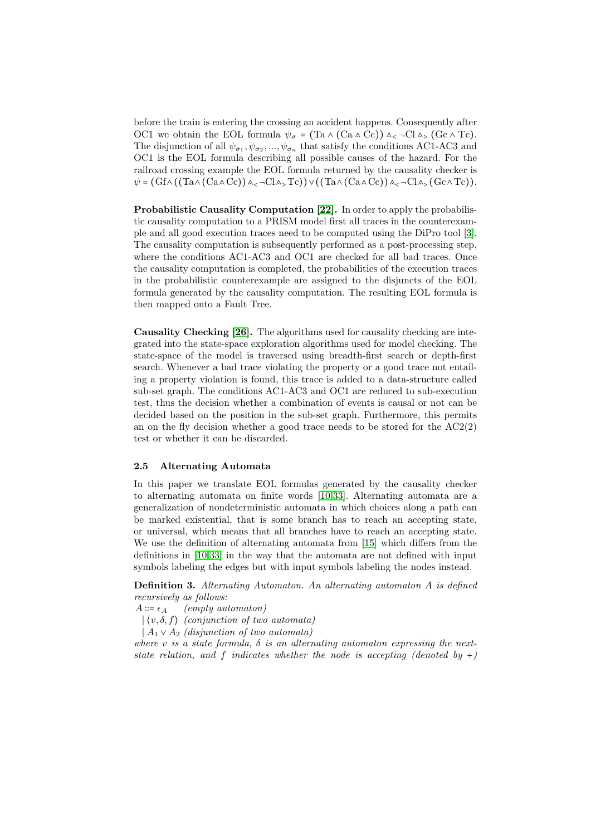before the train is entering the crossing an accident happens. Consequently after OC1 we obtain the EOL formula  $\psi_{\sigma} = (\text{Ta} \wedge (\text{Ca} \wedge \text{Cc})) \wedge_{\leq} \neg \text{Cl} \wedge_{\geq} (\text{Gc} \wedge \text{Te}).$ The disjunction of all  $\psi_{\sigma_1}, \psi_{\sigma_2}, ..., \psi_{\sigma_n}$  that satisfy the conditions AC1-AC3 and OC1 is the EOL formula describing all possible causes of the hazard. For the railroad crossing example the EOL formula returned by the causality checker is  $\psi = (Gf \wedge ((Ta \wedge (Ca \wedge Cc)) \wedge \wedge \neg Cl \wedge \neg Tc)) \vee ((Ta \wedge (Ca \wedge Cc)) \wedge \wedge \neg Cl \wedge \wedge (Gc \wedge Tc)).$ 

Probabilistic Causality Computation [\[22\]](#page-17-1). In order to apply the probabilistic causality computation to a PRISM model first all traces in the counterexample and all good execution traces need to be computed using the DiPro tool [\[3\]](#page-16-7). The causality computation is subsequently performed as a post-processing step, where the conditions AC1-AC3 and OC1 are checked for all bad traces. Once the causality computation is completed, the probabilities of the execution traces in the probabilistic counterexample are assigned to the disjuncts of the EOL formula generated by the causality computation. The resulting EOL formula is then mapped onto a Fault Tree.

Causality Checking [\[26\]](#page-17-2). The algorithms used for causality checking are integrated into the state-space exploration algorithms used for model checking. The state-space of the model is traversed using breadth-first search or depth-first search. Whenever a bad trace violating the property or a good trace not entailing a property violation is found, this trace is added to a data-structure called sub-set graph. The conditions AC1-AC3 and OC1 are reduced to sub-execution test, thus the decision whether a combination of events is causal or not can be decided based on the position in the sub-set graph. Furthermore, this permits an on the fly decision whether a good trace needs to be stored for the AC2(2) test or whether it can be discarded.

### <span id="page-6-0"></span>2.5 Alternating Automata

In this paper we translate EOL formulas generated by the causality checker to alternating automata on finite words [\[10,](#page-16-8)[33\]](#page-17-9). Alternating automata are a generalization of nondeterministic automata in which choices along a path can be marked existential, that is some branch has to reach an accepting state, or universal, which means that all branches have to reach an accepting state. We use the definition of alternating automata from [\[15\]](#page-17-10) which differs from the definitions in [\[10](#page-16-8)[,33\]](#page-17-9) in the way that the automata are not defined with input symbols labeling the edges but with input symbols labeling the nodes instead.

Definition 3. Alternating Automaton. An alternating automaton A is defined recursively as follows:

- A ::=  $\epsilon_A$  (empty automaton)
	- $|\langle v, \delta, f \rangle$  (conjunction of two automata)
	- $\vert A_1 \vee A_2 \rangle$  (disjunction of two automata)

where v is a state formula,  $\delta$  is an alternating automaton expressing the nextstate relation, and f indicates whether the node is accepting (denoted by  $+)$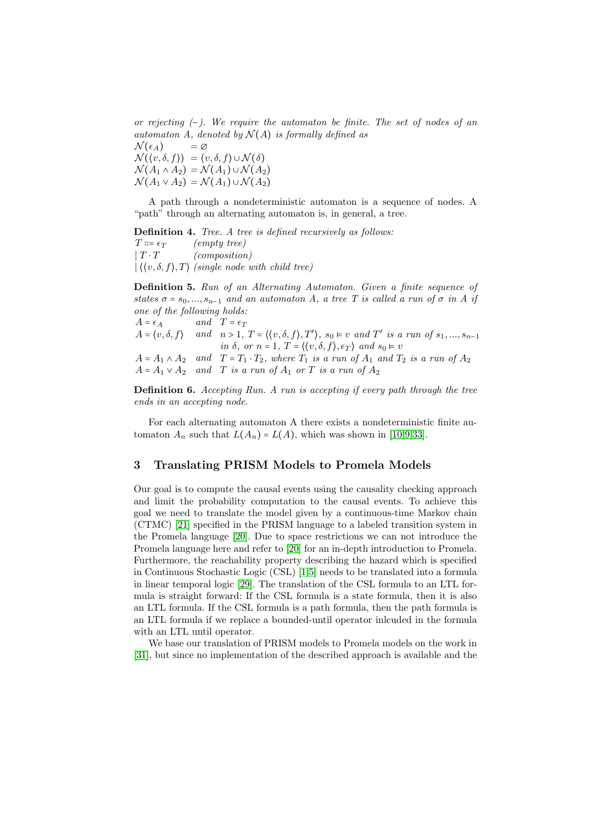or rejecting (−). We require the automaton be finite. The set of nodes of an automaton A, denoted by  $\mathcal{N}(A)$  is formally defined as  $\mathcal{N}(\epsilon_A)$  =  $\emptyset$  $\mathcal{N}(\epsilon_A)$  =  $\varnothing$  $\mathcal{N}(\langle v, \delta, f \rangle) = \langle v, \delta, f \rangle \cup \mathcal{N}(\delta)$  $\mathcal{N}(A_1 \wedge A_2) = \mathcal{N}(A_1) \cup \mathcal{N}(A_2)$ 

 $\mathcal{N}(A_1 \vee A_2) = \mathcal{N}(A_1) \cup \mathcal{N}(A_2)$ 

A path through a nondeterministic automaton is a sequence of nodes. A "path" through an alternating automaton is, in general, a tree.

Definition 4. Tree. A tree is defined recursively as follows:  $T ::= \epsilon_T$  (empty tree)<br>|  $T \cdot T$  (composition  $(composition)$  $\langle \langle v, \delta, f \rangle, T \rangle$  (single node with child tree)

Definition 5. Run of an Alternating Automaton. Given a finite sequence of states  $\sigma = s_0, ..., s_{n-1}$  and an automaton A, a tree T is called a run of  $\sigma$  in A if one of the following holds:

 $A = \epsilon_A$  and  $T = \epsilon_T$ <br>  $A = \langle v, \delta, f \rangle$  and  $n > 1$ ,  $A = \langle v, \delta, f \rangle$  and  $n > 1$ ,  $T = \langle \langle v, \delta, f \rangle, T' \rangle$ ,  $s_0 \vDash v$  and  $T'$  is a run of  $s_1, ..., s_{n-1}$ in  $\delta$ , or  $n = 1$ ,  $T = \langle \langle v, \delta, f \rangle, \epsilon_T \rangle$  and  $s_0 \models v$  $A = A_1 \wedge A_2$  and  $T = T_1 \cdot T_2$ , where  $T_1$  is a run of  $A_1$  and  $T_2$  is a run of  $A_2$  $A = A_1 \vee A_2$  and T is a run of  $A_1$  or T is a run of  $A_2$ 

Definition 6. Accepting Run. A run is accepting if every path through the tree ends in an accepting node.

For each alternating automaton A there exists a nondeterministic finite automaton  $A_n$  such that  $L(A_n) = L(A)$ , which was shown in [\[10,](#page-16-8)[9,](#page-16-9)[33\]](#page-17-9).

# <span id="page-7-0"></span>3 Translating PRISM Models to Promela Models

Our goal is to compute the causal events using the causality checking approach and limit the probability computation to the causal events. To achieve this goal we need to translate the model given by a continuous-time Markov chain (CTMC) [\[21\]](#page-17-4) specified in the PRISM language to a labeled transition system in the Promela language [\[20\]](#page-17-11). Due to space restrictions we can not introduce the Promela language here and refer to [\[20\]](#page-17-11) for an in-depth introduction to Promela. Furthermore, the reachability property describing the hazard which is specified in Continuous Stochastic Logic (CSL) [\[1,](#page-16-4)[5\]](#page-16-5) needs to be translated into a formula in linear temporal logic [\[29\]](#page-17-12). The translation of the CSL formula to an LTL formula is straight forward: If the CSL formula is a state formula, then it is also an LTL formula. If the CSL formula is a path formula, then the path formula is an LTL formula if we replace a bounded-until operator inlcuded in the formula with an LTL until operator.

We base our translation of PRISM models to Promela models on the work in [\[31\]](#page-17-13), but since no implementation of the described approach is available and the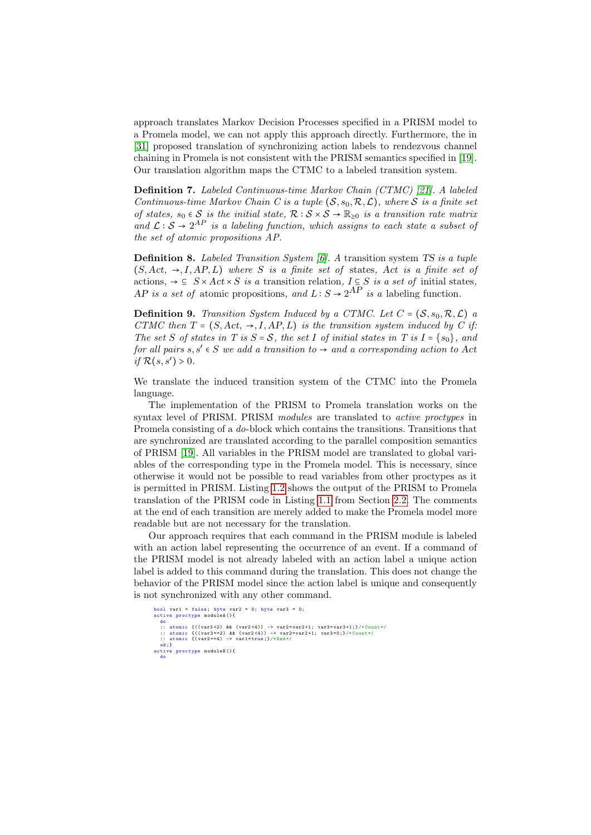approach translates Markov Decision Processes specified in a PRISM model to a Promela model, we can not apply this approach directly. Furthermore, the in [\[31\]](#page-17-13) proposed translation of synchronizing action labels to rendezvous channel chaining in Promela is not consistent with the PRISM semantics specified in [\[19\]](#page-17-6). Our translation algorithm maps the CTMC to a labeled transition system.

Definition 7. Labeled Continuous-time Markov Chain (CTMC) [\[21\]](#page-17-4). A labeled Continuous-time Markov Chain C is a tuple  $(S, s_0, \mathcal{R}, \mathcal{L})$ , where S is a finite set of states,  $s_0 \in S$  is the initial state,  $\mathcal{R}: S \times S \to \mathbb{R}_{\geq 0}$  is a transition rate matrix and  $\mathcal{L}: \mathcal{S} \to 2^{AP}$  is a labeling function, which assigns to each state a subset of the set of atomic propositions AP.

**Definition 8.** Labeled Transition System  $[6]$ . A transition system TS is a tuple  $(S, Act, \rightarrow, I, AP, L)$  where S is a finite set of states. Act is a finite set of actions,  $\rightarrow \subseteq S \times \text{Act} \times S$  is a transition relation,  $I \subseteq S$  is a set of initial states, AP is a set of atomic propositions, and  $L: S \to 2^{AP}$  is a labeling function.

**Definition 9.** Transition System Induced by a CTMC. Let  $C = (\mathcal{S}, s_0, \mathcal{R}, \mathcal{L})$  a CTMC then  $T = (S, Act, \rightarrow, I, AP, L)$  is the transition system induced by C if: The set S of states in T is  $S = S$ , the set I of initial states in T is  $I = \{s_0\}$ , and for all pairs  $s, s' \in S$  we add a transition to  $\rightarrow$  and a corresponding action to Act if  $\mathcal{R}(s,s') > 0$ .

We translate the induced transition system of the CTMC into the Promela language.

The implementation of the PRISM to Promela translation works on the syntax level of PRISM. PRISM modules are translated to *active proctypes* in Promela consisting of a do-block which contains the transitions. Transitions that are synchronized are translated according to the parallel composition semantics of PRISM [\[19\]](#page-17-6). All variables in the PRISM model are translated to global variables of the corresponding type in the Promela model. This is necessary, since otherwise it would not be possible to read variables from other proctypes as it is permitted in PRISM. Listing [1.2](#page-8-0) shows the output of the PRISM to Promela translation of the PRISM code in Listing [1.1](#page-3-0) from Section [2.2.](#page-2-1) The comments at the end of each transition are merely added to make the Promela model more readable but are not necessary for the translation.

Our approach requires that each command in the PRISM module is labeled with an action label representing the occurrence of an event. If a command of the PRISM model is not already labeled with an action label a unique action label is added to this command during the translation. This does not change the behavior of the PRISM model since the action label is unique and consequently is not synchronized with any other command.

```
bool var1 = false; byte var2 = 0; byte var3 = 0;<br>active proctype moduleA(){
    do<br>:: atomic {((var3<2) && (var2<4)) -> var2=var2+1; var3=var3+1;}/*Count*/<br>:: atomic {((var3==2) && (var2<4)) -> var2=var2+1; var3=0;}/*Count*/<br>:: atomic {(var2==4) -> var1=true;}/*End*/<br>od;}<br>od;}
active proctype moduleB (){
do
```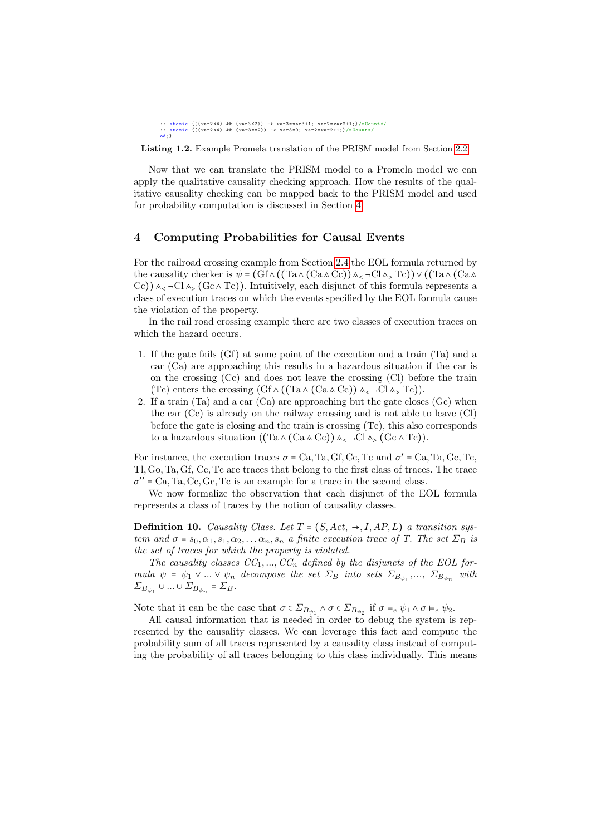:: atomic {((var2<4) && (var3<2)) -> var3=var3+1; var2=var2+1;}/\*Count\*/<br>:: atomic {((var2<4) && (var3==2)) -> var3=0; var2=var2+1;}/\*Count\*/<br>od;}

Listing 1.2. Example Promela translation of the PRISM model from Section [2.2.](#page-2-1)

Now that we can translate the PRISM model to a Promela model we can apply the qualitative causality checking approach. How the results of the qualitative causality checking can be mapped back to the PRISM model and used for probability computation is discussed in Section [4.](#page-9-0)

# <span id="page-9-0"></span>4 Computing Probabilities for Causal Events

For the railroad crossing example from Section [2.4](#page-3-1) the EOL formula returned by the causality checker is <sup>ψ</sup> <sup>=</sup> (Gf <sup>∧</sup> ((Ta <sup>∧</sup> (Ca . Cc)) .<sup>&</sup>lt; <sup>¬</sup>Cl .<sup>&</sup>gt; Tc)) <sup>∨</sup> ((Ta <sup>∧</sup> (Ca . Cc))  $\lambda_{\leq}$  -Cl  $\lambda_{>}$  (Gc  $\wedge$  Tc)). Intuitively, each disjunct of this formula represents a class of execution traces on which the events specified by the EOL formula cause the violation of the property.

In the rail road crossing example there are two classes of execution traces on which the hazard occurs.

- 1. If the gate fails (Gf) at some point of the execution and a train (Ta) and a car (Ca) are approaching this results in a hazardous situation if the car is on the crossing (Cc) and does not leave the crossing (Cl) before the train (Tc) enters the crossing  $(Gf \wedge ((Ta \wedge (Ca \wedge Cc)) \wedge_{\leq} \neg Cl \wedge_{\geq} Te)).$
- 2. If a train (Ta) and a car (Ca) are approaching but the gate closes (Gc) when the car (Cc) is already on the railway crossing and is not able to leave (Cl) before the gate is closing and the train is crossing (Tc), this also corresponds to a hazardous situation  $((Ta \wedge (Ca \wedge Cc)) \wedge_{<} \neg Cl \wedge_{>} (Gc \wedge Tc)).$

For instance, the execution traces  $\sigma =$ Ca, Ta, Gf, Cc, Tc and  $\sigma' =$ Ca, Ta, Gc, Tc, Tl, Ge, Ta, Gf, Ca, Te are traces that belong to the first class of traces. The traces Tl,Go, Ta,Gf, Cc, Tc are traces that belong to the first class of traces. The trace  $\sigma'' = Ca$ , Ta, Cc, Gc, Tc is an example for a trace in the second class.

We now formalize the observation that each disjunct of the EOL formula represents a class of traces by the notion of causality classes.

**Definition 10.** Causality Class. Let  $T = (S, Act, \rightarrow, I, AP, L)$  a transition system and  $\sigma = s_0, \alpha_1, s_1, \alpha_2, \ldots, \alpha_n, s_n$  a finite execution trace of T. The set  $\Sigma_B$  is the set of traces for which the property is violated.

The causality classes  $CC_1, ..., CC_n$  defined by the disjuncts of the EOL formula  $\psi = \psi_1 \vee \ldots \vee \psi_n$  decompose the set  $\Sigma_B$  into sets  $\Sigma_{B_{\psi_1}}, \ldots, \Sigma_{B_{\psi_n}}$  with  $\Sigma_{B_{\psi_1}} \cup ... \cup \Sigma_{B_{\psi_n}} = \Sigma_B.$ 

Note that it can be the case that  $\sigma \in \Sigma_{B_{\psi_1}} \wedge \sigma \in \Sigma_{B_{\psi_2}}$  if  $\sigma \vDash_e \psi_1 \wedge \sigma \vDash_e \psi_2$ .

All causal information that is needed in order to debug the system is represented by the causality classes. We can leverage this fact and compute the probability sum of all traces represented by a causality class instead of computing the probability of all traces belonging to this class individually. This means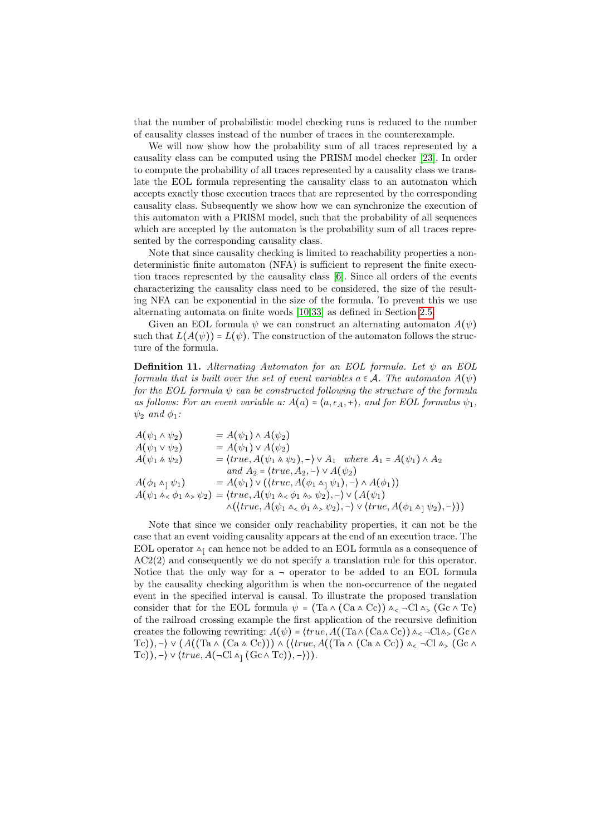that the number of probabilistic model checking runs is reduced to the number of causality classes instead of the number of traces in the counterexample.

We will now show how the probability sum of all traces represented by a causality class can be computed using the PRISM model checker [\[23\]](#page-17-5). In order to compute the probability of all traces represented by a causality class we translate the EOL formula representing the causality class to an automaton which accepts exactly those execution traces that are represented by the corresponding causality class. Subsequently we show how we can synchronize the execution of this automaton with a PRISM model, such that the probability of all sequences which are accepted by the automaton is the probability sum of all traces represented by the corresponding causality class.

Note that since causality checking is limited to reachability properties a nondeterministic finite automaton (NFA) is sufficient to represent the finite execution traces represented by the causality class [\[6\]](#page-16-1). Since all orders of the events characterizing the causality class need to be considered, the size of the resulting NFA can be exponential in the size of the formula. To prevent this we use alternating automata on finite words [\[10,](#page-16-8)[33\]](#page-17-9) as defined in Section [2.5.](#page-6-0)

Given an EOL formula  $\psi$  we can construct an alternating automaton  $A(\psi)$ such that  $L(A(\psi)) = L(\psi)$ . The construction of the automaton follows the structure of the formula.

**Definition 11.** Alternating Automaton for an EOL formula. Let  $\psi$  an EOL formula that is built over the set of event variables  $a \in \mathcal{A}$ . The automaton  $A(\psi)$ for the EOL formula  $\psi$  can be constructed following the structure of the formula as follows: For an event variable a:  $A(a) = \langle a, \epsilon_A, + \rangle$ , and for EOL formulas  $\psi_1$ ,  $\psi_2$  and  $\phi_1$ :

| $A(\psi_1 \wedge \psi_2)$   | $= A(\psi_1) \wedge A(\psi_2)$                                                                                                                                  |
|-----------------------------|-----------------------------------------------------------------------------------------------------------------------------------------------------------------|
| $A(\psi_1 \vee \psi_2)$     | $= A(\psi_1) \vee A(\psi_2)$                                                                                                                                    |
| $A(\psi_1 \wedge \psi_2)$   | $= \langle true, A(\psi_1 \wedge \psi_2), - \rangle \vee A_1$ where $A_1 = A(\psi_1) \wedge A_2$                                                                |
|                             | and $A_2 = (true, A_2, -) \vee A(\psi_2)$                                                                                                                       |
| $A(\phi_1 \wedge_1 \psi_1)$ | $= A(\psi_1) \vee (\langle true, A(\phi_1 \wedge_1 \psi_1), \neg \rangle \wedge A(\phi_1))$                                                                     |
|                             | $A(\psi_1 \wedge \phi_1 \wedge \phi_2) = \langle true, A(\psi_1 \wedge \phi_1 \wedge \phi_2), - \rangle \vee (A(\psi_1))$                                       |
|                             | $\wedge (\langle true, A(\psi_1 \wedge \langle \phi_1 \wedge \langle \psi_2 \rangle, -) \vee \langle true, A(\phi_1 \wedge \langle \psi_2 \rangle, -) \rangle)$ |
|                             |                                                                                                                                                                 |

Note that since we consider only reachability properties, it can not be the case that an event voiding causality appears at the end of an execution trace. The EOL operator  $\wedge$ [ can hence not be added to an EOL formula as a consequence of AC2(2) and consequently we do not specify a translation rule for this operator. Notice that the only way for  $a \rightarrow$  operator to be added to an EOL formula by the causality checking algorithm is when the non-occurrence of the negated event in the specified interval is causal. To illustrate the proposed translation consider that for the EOL formula  $\psi = (\text{Ta} \wedge (\text{Ca} \wedge \text{Cc})) \wedge_{\leq} \neg \text{Cl} \wedge_{\geq} (\text{Gc} \wedge \text{Te})$ of the railroad crossing example the first application of the recursive definition creates the following rewriting:  $A(\psi) = \langle true, A((Ta \wedge (Ca \wedge Cc)) \wedge \neg C1 \wedge \neg C1 \wedge \neg C1 \wedge \neg C1 \wedge \neg C1 \wedge \neg C1 \wedge \neg C1 \wedge \neg C1 \wedge \neg C1 \wedge \neg C1 \wedge \neg C1 \wedge \neg C1 \wedge \neg C1 \wedge \neg C1 \wedge \neg C1 \wedge \neg C1 \wedge \neg C1 \wedge \neg C1 \wedge \neg C1 \wedge \neg C1 \wedge \neg C1 \wedge \neg C1 \wedge \neg C1 \wedge$ Tc)), -) ∨ (A((Ta ∧ (Ca ^ Cc))) ∧ ( $\langle true, A((\text{Ta } \wedge \text{Ca } \wedge \text{Cc})) \wedge_{\leq} \neg \text{Cl} \wedge_{\geq} (\text{Gc } \wedge$  $T_{\rm c}$ )), – $\rangle \vee \langle true, A(\neg {\rm Cl} \land_{\rm l} ({\rm GC} \land {\rm Tc})), -\rangle)).$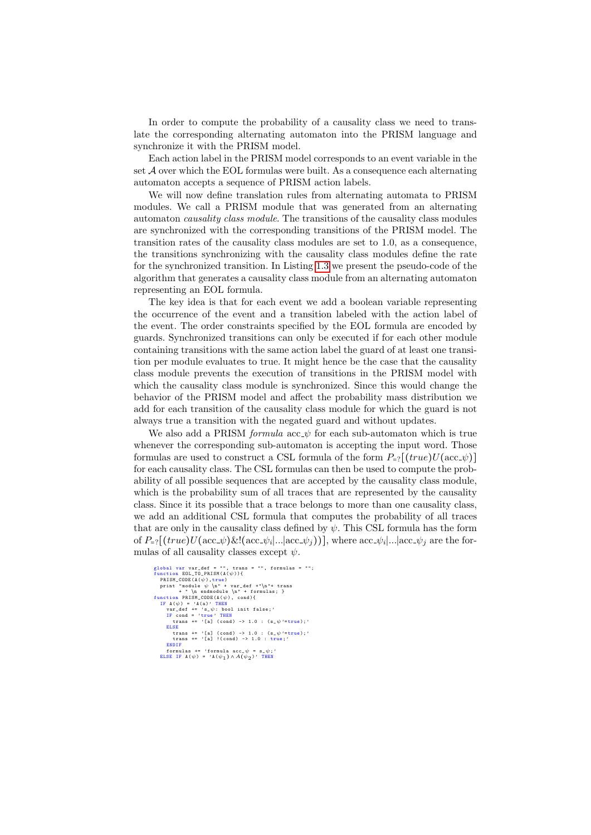In order to compute the probability of a causality class we need to translate the corresponding alternating automaton into the PRISM language and synchronize it with the PRISM model.

Each action label in the PRISM model corresponds to an event variable in the set  $A$  over which the EOL formulas were built. As a consequence each alternating automaton accepts a sequence of PRISM action labels.

We will now define translation rules from alternating automata to PRISM modules. We call a PRISM module that was generated from an alternating automaton causality class module. The transitions of the causality class modules are synchronized with the corresponding transitions of the PRISM model. The transition rates of the causality class modules are set to 1.0, as a consequence, the transitions synchronizing with the causality class modules define the rate for the synchronized transition. In Listing [1.3](#page-11-0) we present the pseudo-code of the algorithm that generates a causality class module from an alternating automaton representing an EOL formula.

The key idea is that for each event we add a boolean variable representing the occurrence of the event and a transition labeled with the action label of the event. The order constraints specified by the EOL formula are encoded by guards. Synchronized transitions can only be executed if for each other module containing transitions with the same action label the guard of at least one transition per module evaluates to true. It might hence be the case that the causality class module prevents the execution of transitions in the PRISM model with which the causality class module is synchronized. Since this would change the behavior of the PRISM model and affect the probability mass distribution we add for each transition of the causality class module for which the guard is not always true a transition with the negated guard and without updates.

We also add a PRISM *formula* acc  $\psi$  for each sub-automaton which is true whenever the corresponding sub-automaton is accepting the input word. Those formulas are used to construct a CSL formula of the form  $P_{=?}[(true)U(acc_{\psi})]$ for each causality class. The CSL formulas can then be used to compute the probability of all possible sequences that are accepted by the causality class module, which is the probability sum of all traces that are represented by the causality class. Since it its possible that a trace belongs to more than one causality class, we add an additional CSL formula that computes the probability of all traces that are only in the causality class defined by  $\psi$ . This CSL formula has the form of  $P_{=?}[(true)U(\text{acc.}\psi)\&!(\text{acc.}\psi_i|...|\text{acc.}\psi_j))]$ , where  $\text{acc.}\psi_i|...|\text{acc.}\psi_j$  are the formulas of all causality classes except  $\psi$ .

```
global var var_def = "", trans = "", formulas = "";<br>function EOL_TO_PRISM(A(\psi)){<br>PRISM_CODE(A(\psi), true)<br>print "module \psi \n" + var_def +"\n"+ trans<br>+ "\n endmodule \n" + formulas; }<br>function PRISM_CODE(A(\psi), co
             trans += '[a] (cond) -> 1.0 : (s_{\perp}\psi)^* trans += '[a] !(cond) -> 1.0 : true;'<br>ENDIF
      formulas += 'formula acc_\psi = s_\psi;'<br>ELSE IF A(\psi) = 'A(\psi<sub>1</sub>) \land A(\psi<sub>2</sub>)' THEN
```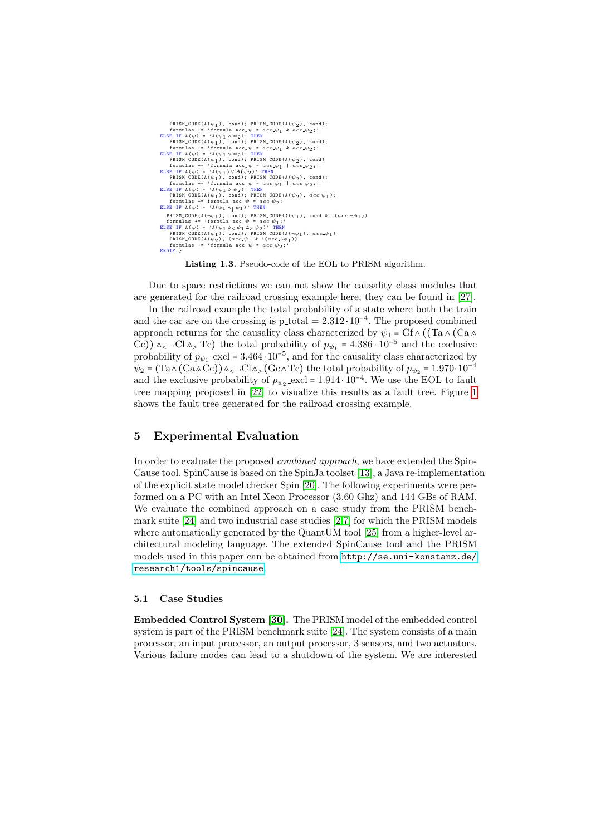```
PRISM_CODE(A(\psi_1), cond); PRISM_CODE(A(\psi_2), cond);<br>
ELSE IF A(\psi) = \lambda(\psi_1 \wedge \psi_2), \psi = acc\psi_1 \pm acc\psi_2;<br>
PRISM_CODE(A(\psi_1 \wedge \psi_2), THEM<br>
PRISM_CODE(A(\psi_1), cond); PRISM_CODE(A(\psi_2), cond);<br>
formulas + 'formul
  PRISM_CODE(A(\neg \phi_1), cond); PRISM_CODE(A(\psi_1), cond & !(acc.\neg \phi_1));<br>formulas * 'formula acc.\psi = acc.\psi_1;<br>ELSE IF A(\psi) = 'A(\psi_1A<sub>\sim</sub> \phi_1 \wedge \psi_2)' THEN<br>PRISM_CODE(A(\psi_1), cond); PRISM_CODE(A(\neg \phi_1), 
ENDIF }
```
Listing 1.3. Pseudo-code of the EOL to PRISM algorithm.

Due to space restrictions we can not show the causality class modules that are generated for the railroad crossing example here, they can be found in [\[27\]](#page-17-14).

In the railroad example the total probability of a state where both the train and the car are on the crossing is p\_total =  $2.312 \cdot 10^{-4}$ . The proposed combined approach returns for the causality class characterized by  $\psi_1 = Gf \wedge ((Ta \wedge (Ca \wedge$ Cc))  $\Delta \lt \sim$  -Cl  $\Delta \gt \sim$  Tc) the total probability of  $p_{\psi_1} = 4.386 \cdot 10^{-5}$  and the exclusive probability of  $p_{\psi_1}$  excl = 3.464 ⋅ 10<sup>-5</sup>, and for the causality class characterized by  $\psi_2 = (\text{Ta} \wedge (\text{Ca} \wedge \text{Cc})) \wedge \text{Ca} \wedge \text{Ca} \wedge (\text{G} \wedge \text{Ac})$  the total probability of  $p_{\psi_2} = 1.970 \cdot 10^{-4}$ and the exclusive probability of  $p_{\psi_2}$ -excl = 1.914 ⋅  $10^{-4}$ . We use the EOL to fault tree mapping proposed in [\[22\]](#page-17-1) to visualize this results as a fault tree. Figure [1](#page-13-0) shows the fault tree generated for the railroad crossing example.

# <span id="page-12-0"></span>5 Experimental Evaluation

In order to evaluate the proposed *combined approach*, we have extended the Spin-Cause tool. SpinCause is based on the SpinJa toolset [\[13\]](#page-16-10), a Java re-implementation of the explicit state model checker Spin [\[20\]](#page-17-11). The following experiments were performed on a PC with an Intel Xeon Processor (3.60 Ghz) and 144 GBs of RAM. We evaluate the combined approach on a case study from the PRISM benchmark suite [\[24\]](#page-17-15) and two industrial case studies [\[2,](#page-16-11)[7\]](#page-16-12) for which the PRISM models where automatically generated by the QuantUM tool [\[25\]](#page-17-16) from a higher-level architectural modeling language. The extended SpinCause tool and the PRISM models used in this paper can be obtained from [http://se.uni-konstanz.de/](http://se.uni-konstanz.de/research1/tools/spincause) [research1/tools/spincause](http://se.uni-konstanz.de/research1/tools/spincause).

### 5.1 Case Studies

Embedded Control System [\[30\]](#page-17-17). The PRISM model of the embedded control system is part of the PRISM benchmark suite [\[24\]](#page-17-15). The system consists of a main processor, an input processor, an output processor, 3 sensors, and two actuators. Various failure modes can lead to a shutdown of the system. We are interested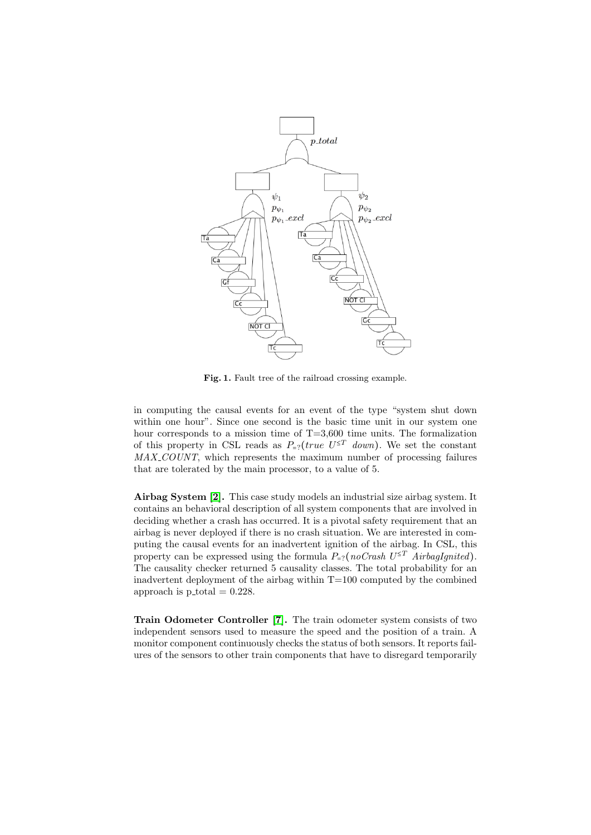

<span id="page-13-0"></span>Fig. 1. Fault tree of the railroad crossing example.

in computing the causal events for an event of the type "system shut down within one hour". Since one second is the basic time unit in our system one hour corresponds to a mission time of  $T=3,600$  time units. The formalization of this property in CSL reads as  $P_{=?}(true \ U^{\leq T} down)$ . We set the constant MAX COUNT, which represents the maximum number of processing failures that are tolerated by the main processor, to a value of 5.

Airbag System [\[2\]](#page-16-11). This case study models an industrial size airbag system. It contains an behavioral description of all system components that are involved in deciding whether a crash has occurred. It is a pivotal safety requirement that an airbag is never deployed if there is no crash situation. We are interested in computing the causal events for an inadvertent ignition of the airbag. In CSL, this property can be expressed using the formula  $P_{\equiv}$ ?(noCrash  $U^{\leq T}$  AirbagIgnited). The causality checker returned 5 causality classes. The total probability for an inadvertent deployment of the airbag within  $T=100$  computed by the combined approach is  $p_{total} = 0.228$ .

Train Odometer Controller [\[7\]](#page-16-12). The train odometer system consists of two independent sensors used to measure the speed and the position of a train. A monitor component continuously checks the status of both sensors. It reports failures of the sensors to other train components that have to disregard temporarily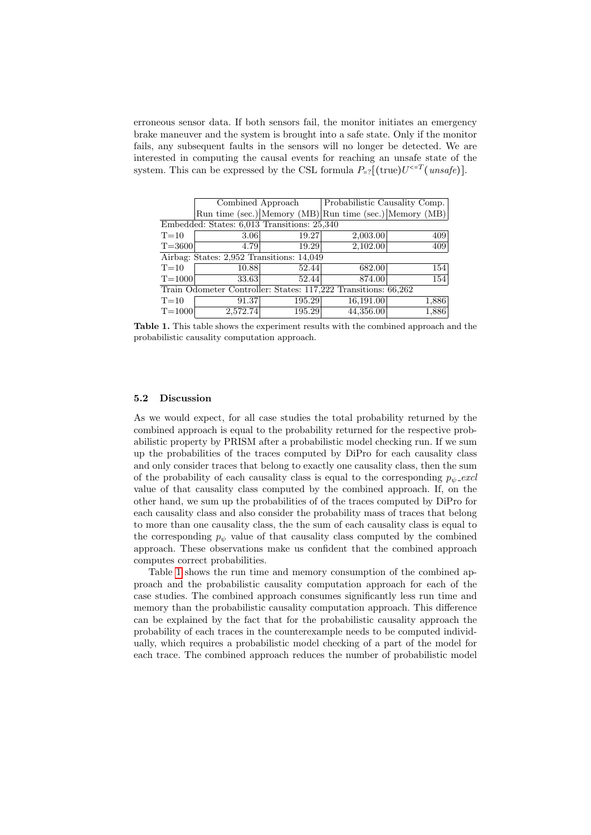erroneous sensor data. If both sensors fail, the monitor initiates an emergency brake maneuver and the system is brought into a safe state. Only if the monitor fails, any subsequent faults in the sensors will no longer be detected. We are interested in computing the causal events for reaching an unsafe state of the system. This can be expressed by the CSL formula  $P_{=?}[(\text{true})U^{<=T}(\text{unsafe})]$ .

|                                                                | Combined Approach |        | Probabilistic Causality Comp.                           |       |  |
|----------------------------------------------------------------|-------------------|--------|---------------------------------------------------------|-------|--|
|                                                                |                   |        | Run time (sec.) Memory (MB) Run time (sec.) Memory (MB) |       |  |
| Embedded: States: 6,013 Transitions: 25,340                    |                   |        |                                                         |       |  |
| $T=10$                                                         | 3.06              | 19.27  | 2,003.00                                                | 409   |  |
| $T = 3600$                                                     | 4.79              | 19.29  | 2,102.00                                                | 409   |  |
| Airbag: States: 2,952 Transitions: 14,049                      |                   |        |                                                         |       |  |
| $T=10$                                                         | 10.88             | 52.44  | 682.00                                                  | 154   |  |
| $T = 1000$                                                     | 33.63             | 52.44  | 874.00                                                  | 154   |  |
| Train Odometer Controller: States: 117,222 Transitions: 66,262 |                   |        |                                                         |       |  |
| $T=10$                                                         | 91.37             | 195.29 | 16,191.00                                               | 1,886 |  |
| $T = 1000$                                                     | 2,572.74          | 195.29 | 44,356.00                                               | 1,886 |  |

<span id="page-14-0"></span>Table 1. This table shows the experiment results with the combined approach and the probabilistic causality computation approach.

#### 5.2 Discussion

As we would expect, for all case studies the total probability returned by the combined approach is equal to the probability returned for the respective probabilistic property by PRISM after a probabilistic model checking run. If we sum up the probabilities of the traces computed by DiPro for each causality class and only consider traces that belong to exactly one causality class, then the sum of the probability of each causality class is equal to the corresponding  $p_{\psi}$ -excl value of that causality class computed by the combined approach. If, on the other hand, we sum up the probabilities of of the traces computed by DiPro for each causality class and also consider the probability mass of traces that belong to more than one causality class, the the sum of each causality class is equal to the corresponding  $p_{\psi}$  value of that causality class computed by the combined approach. These observations make us confident that the combined approach computes correct probabilities.

Table [1](#page-14-0) shows the run time and memory consumption of the combined approach and the probabilistic causality computation approach for each of the case studies. The combined approach consumes significantly less run time and memory than the probabilistic causality computation approach. This difference can be explained by the fact that for the probabilistic causality approach the probability of each traces in the counterexample needs to be computed individually, which requires a probabilistic model checking of a part of the model for each trace. The combined approach reduces the number of probabilistic model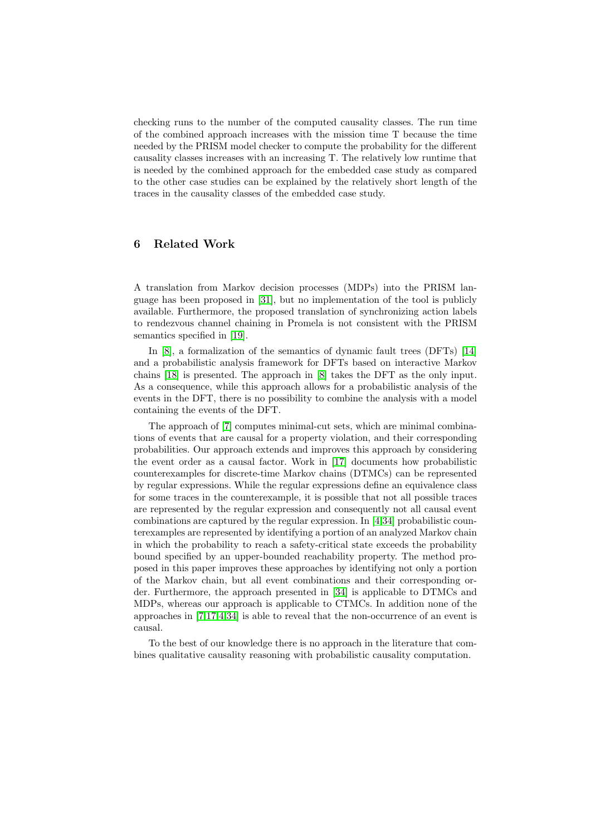checking runs to the number of the computed causality classes. The run time of the combined approach increases with the mission time T because the time needed by the PRISM model checker to compute the probability for the different causality classes increases with an increasing T. The relatively low runtime that is needed by the combined approach for the embedded case study as compared to the other case studies can be explained by the relatively short length of the traces in the causality classes of the embedded case study.

# <span id="page-15-0"></span>6 Related Work

A translation from Markov decision processes (MDPs) into the PRISM language has been proposed in [\[31\]](#page-17-13), but no implementation of the tool is publicly available. Furthermore, the proposed translation of synchronizing action labels to rendezvous channel chaining in Promela is not consistent with the PRISM semantics specified in [\[19\]](#page-17-6).

In [\[8\]](#page-16-13), a formalization of the semantics of dynamic fault trees (DFTs) [\[14\]](#page-17-18) and a probabilistic analysis framework for DFTs based on interactive Markov chains [\[18\]](#page-17-19) is presented. The approach in [\[8\]](#page-16-13) takes the DFT as the only input. As a consequence, while this approach allows for a probabilistic analysis of the events in the DFT, there is no possibility to combine the analysis with a model containing the events of the DFT.

The approach of [\[7\]](#page-16-12) computes minimal-cut sets, which are minimal combinations of events that are causal for a property violation, and their corresponding probabilities. Our approach extends and improves this approach by considering the event order as a causal factor. Work in [\[17\]](#page-17-0) documents how probabilistic counterexamples for discrete-time Markov chains (DTMCs) can be represented by regular expressions. While the regular expressions define an equivalence class for some traces in the counterexample, it is possible that not all possible traces are represented by the regular expression and consequently not all causal event combinations are captured by the regular expression. In [\[4,](#page-16-2)[34\]](#page-17-20) probabilistic counterexamples are represented by identifying a portion of an analyzed Markov chain in which the probability to reach a safety-critical state exceeds the probability bound specified by an upper-bounded reachability property. The method proposed in this paper improves these approaches by identifying not only a portion of the Markov chain, but all event combinations and their corresponding order. Furthermore, the approach presented in [\[34\]](#page-17-20) is applicable to DTMCs and MDPs, whereas our approach is applicable to CTMCs. In addition none of the approaches in  $[7,17,4,34]$  $[7,17,4,34]$  $[7,17,4,34]$  $[7,17,4,34]$  is able to reveal that the non-occurrence of an event is causal.

To the best of our knowledge there is no approach in the literature that combines qualitative causality reasoning with probabilistic causality computation.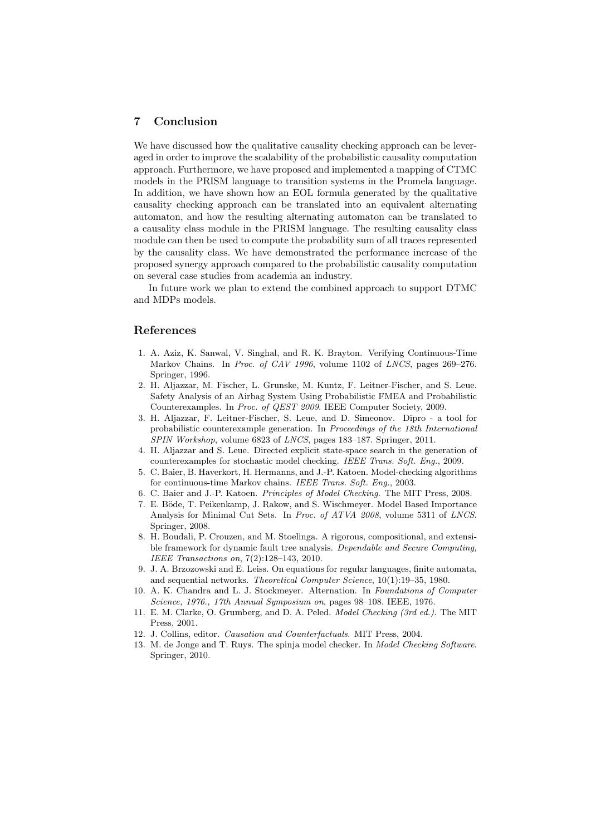### <span id="page-16-3"></span>7 Conclusion

We have discussed how the qualitative causality checking approach can be leveraged in order to improve the scalability of the probabilistic causality computation approach. Furthermore, we have proposed and implemented a mapping of CTMC models in the PRISM language to transition systems in the Promela language. In addition, we have shown how an EOL formula generated by the qualitative causality checking approach can be translated into an equivalent alternating automaton, and how the resulting alternating automaton can be translated to a causality class module in the PRISM language. The resulting causality class module can then be used to compute the probability sum of all traces represented by the causality class. We have demonstrated the performance increase of the proposed synergy approach compared to the probabilistic causality computation on several case studies from academia an industry.

In future work we plan to extend the combined approach to support DTMC and MDPs models.

### References

- <span id="page-16-4"></span>1. A. Aziz, K. Sanwal, V. Singhal, and R. K. Brayton. Verifying Continuous-Time Markov Chains. In Proc. of CAV 1996, volume 1102 of LNCS, pages 269–276. Springer, 1996.
- <span id="page-16-11"></span>2. H. Aljazzar, M. Fischer, L. Grunske, M. Kuntz, F. Leitner-Fischer, and S. Leue. Safety Analysis of an Airbag System Using Probabilistic FMEA and Probabilistic Counterexamples. In Proc. of QEST 2009. IEEE Computer Society, 2009.
- <span id="page-16-7"></span>3. H. Aljazzar, F. Leitner-Fischer, S. Leue, and D. Simeonov. Dipro - a tool for probabilistic counterexample generation. In Proceedings of the 18th International SPIN Workshop, volume 6823 of LNCS, pages 183–187. Springer, 2011.
- <span id="page-16-2"></span>4. H. Aljazzar and S. Leue. Directed explicit state-space search in the generation of counterexamples for stochastic model checking. IEEE Trans. Soft. Eng., 2009.
- <span id="page-16-5"></span>5. C. Baier, B. Haverkort, H. Hermanns, and J.-P. Katoen. Model-checking algorithms for continuous-time Markov chains. IEEE Trans. Soft. Eng., 2003.
- <span id="page-16-1"></span>6. C. Baier and J.-P. Katoen. Principles of Model Checking. The MIT Press, 2008.
- <span id="page-16-12"></span>7. E. Böde, T. Peikenkamp, J. Rakow, and S. Wischmeyer. Model Based Importance Analysis for Minimal Cut Sets. In Proc. of ATVA 2008, volume 5311 of LNCS. Springer, 2008.
- <span id="page-16-13"></span>8. H. Boudali, P. Crouzen, and M. Stoelinga. A rigorous, compositional, and extensible framework for dynamic fault tree analysis. Dependable and Secure Computing, IEEE Transactions on, 7(2):128–143, 2010.
- <span id="page-16-9"></span>9. J. A. Brzozowski and E. Leiss. On equations for regular languages, finite automata, and sequential networks. Theoretical Computer Science, 10(1):19–35, 1980.
- <span id="page-16-8"></span>10. A. K. Chandra and L. J. Stockmeyer. Alternation. In Foundations of Computer Science, 1976., 17th Annual Symposium on, pages 98–108. IEEE, 1976.
- <span id="page-16-0"></span>11. E. M. Clarke, O. Grumberg, and D. A. Peled. Model Checking (3rd ed.). The MIT Press, 2001.
- <span id="page-16-6"></span>12. J. Collins, editor. Causation and Counterfactuals. MIT Press, 2004.
- <span id="page-16-10"></span>13. M. de Jonge and T. Ruys. The spinja model checker. In Model Checking Software. Springer, 2010.